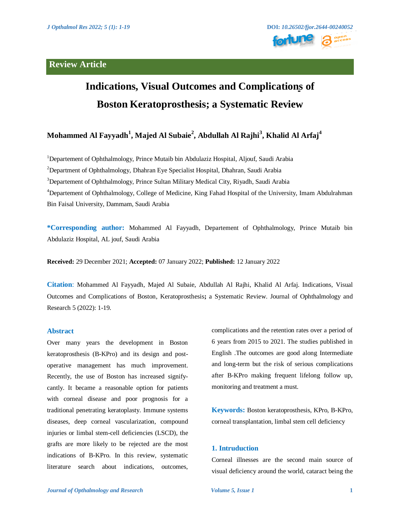# **Review Article**



# **Indications, Visual Outcomes and Complications of Boston Keratoprosthesis; a Systematic Review**

# **Mohammed Al Fayyadh<sup>1</sup> , Majed Al Subaie<sup>2</sup> , Abdullah Al Rajhi<sup>3</sup> , Khalid Al Arfaj<sup>4</sup>**

<sup>1</sup>Departement of Ophthalmology, Prince Mutaib bin Abdulaziz Hospital, Aljouf, Saudi Arabia <sup>2</sup>Department of Ophthalmology, Dhahran Eye Specialist Hospital, Dhahran, Saudi Arabia <sup>3</sup>Departement of Ophthalmology, Prince Sultan Military Medical City, Riyadh, Saudi Arabia <sup>4</sup>Departement of Ophthalmology, College of Medicine, King Fahad Hospital of the University, Imam Abdulrahman Bin Faisal University, Dammam, Saudi Arabia

**\*Corresponding author:** Mohammed Al Fayyadh, Departement of Ophthalmology, Prince Mutaib bin Abdulaziz Hospital, AL jouf, Saudi Arabia

**Received:** 29 December 2021; **Accepted:** 07 January 2022; **Published:** 12 January 2022

**Citation**: Mohammed Al Fayyadh, Majed Al Subaie, Abdullah Al Rajhi, Khalid Al Arfaj. Indications, Visual Outcomes and Complications of Boston, Keratoprosthesis**;** a Systematic Review. Journal of Ophthalmology and Research 5 (2022): 1-19.

## **Abstract**

Over many years the development in Boston keratoprosthesis (B-KPro) and its design and postoperative management has much improvement. Recently, the use of Boston has increased signifycantly. It became a reasonable option for patients with corneal disease and poor prognosis for a traditional penetrating keratoplasty. Immune systems diseases, deep corneal vascularization, compound injuries or limbal stem-cell deficiencies (LSCD), the grafts are more likely to be rejected are the most indications of B-KPro. In this review, systematic literature search about indications, outcomes,

complications and the retention rates over a period of 6 years from 2015 to 2021. The studies published in English .The outcomes are good along Intermediate and long-term but the risk of serious complications after B-KPro making frequent lifelong follow up, monitoring and treatment a must.

**Keywords:** Boston keratoprosthesis, KPro, B-KPro, corneal transplantation, limbal stem cell deficiency

# **1. Intruduction**

Corneal illnesses are the second main source of visual deficiency around the world, cataract being the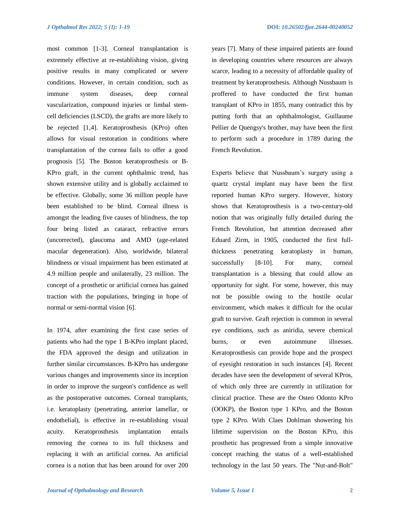most common [1-3]. Corneal transplantation is extremely effective at re-establishing vision, giving positive results in many complicated or severe conditions. However, in certain condition, such as immune system diseases, deep corneal vascularization, compound injuries or limbal stemcell deficiencies (LSCD), the grafts are more likely to be rejected [1,4]. Keratoprosthesis (KPro) often allows for visual restoration in conditions where transplantation of the cornea fails to offer a good prognosis [5]. The Boston keratoprosthesis or B-KPro graft, in the current ophthalmic trend, has shown extensive utility and is globally acclaimed to be effective. Globally, some 36 million people have been established to be blind. Corneal illness is amongst the leading five causes of blindness, the top four being listed as cataract, refractive errors (uncorrected), glaucoma and AMD (age-related macular degeneration). Also, worldwide, bilateral blindness or visual impairment has been estimated at 4.9 million people and unilaterally, 23 million. The concept of a prosthetic or artificial cornea has gained traction with the populations, bringing in hope of normal or semi-normal vision [6].

In 1974, after examining the first case series of patients who had the type 1 B-KPro implant placed, the FDA approved the design and utilization in further similar circumstances. B-KPro has undergone various changes and improvements since its inception in order to improve the surgeon's confidence as well as the postoperative outcomes. Corneal transplants, i.e. keratoplasty (penetrating, anterior lamellar, or endothelial), is effective in re-establishing visual acuity. Keratoprosthesis implantation entails removing the cornea to its full thickness and replacing it with an artificial cornea. An artificial cornea is a notion that has been around for over 200 years [7]. Many of these impaired patients are found in developing countries where resources are always scarce, leading to a necessity of affordable quality of treatment by keratoprosthesis. Although Nussbaum is proffered to have conducted the first human transplant of KPro in 1855, many contradict this by putting forth that an ophthalmologist, Guillaume Pellier de Quengsy's brother, may have been the first to perform such a procedure in 1789 during the French Revolution.

Experts believe that Nussbaum's surgery using a quartz crystal implant may have been the first reported human KPro surgery. However, history shows that Keratoprosthesis is a two-century-old notion that was originally fully detailed during the French Revolution, but attention decreased after Eduard Zirm, in 1905, conducted the first fullthickness penetrating keratoplasty in human, successfully [8-10]. For many, corneal transplantation is a blessing that could allow an opportunity for sight. For some, however, this may not be possible owing to the hostile ocular environment, which makes it difficult for the ocular graft to survive. Graft rejection is common in several eye conditions, such as aniridia, severe chemical burns, or even autoimmune illnesses. Keratoprosthesis can provide hope and the prospect of eyesight restoration in such instances [4]. Recent decades have seen the development of several KPros, of which only three are currently in utilization for clinical practice. These are the Osteo Odonto KPro (OOKP), the Boston type 1 KPro, and the Boston type 2 KPro. With Claes Dohlman showering his lifetime supervision on the Boston KPro, this prosthetic has progressed from a simple innovative concept reaching the status of a well-established technology in the last 50 years. The "Nut-and-Bolt"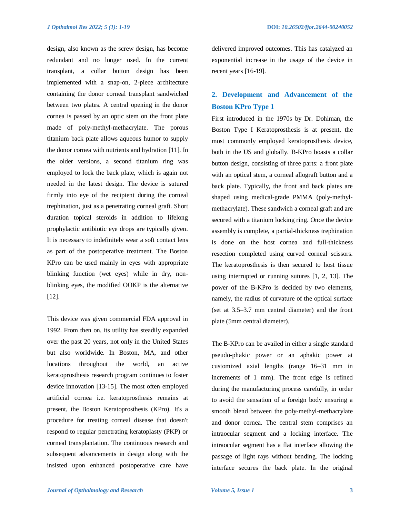design, also known as the screw design, has become redundant and no longer used. In the current transplant, a collar button design has been implemented with a snap-on, 2-piece architecture containing the donor corneal transplant sandwiched between two plates. A central opening in the donor cornea is passed by an optic stem on the front plate made of poly-methyl-methacrylate. The porous titanium back plate allows aqueous humor to supply the donor cornea with nutrients and hydration [11]. In the older versions, a second titanium ring was employed to lock the back plate, which is again not needed in the latest design. The device is sutured firmly into eye of the recipient during the corneal trephination, just as a penetrating corneal graft. Short duration topical steroids in addition to lifelong prophylactic antibiotic eye drops are typically given. It is necessary to indefinitely wear a soft contact lens as part of the postoperative treatment. The Boston KPro can be used mainly in eyes with appropriate blinking function (wet eyes) while in dry, nonblinking eyes, the modified OOKP is the alternative [12].

This device was given commercial FDA approval in 1992. From then on, its utility has steadily expanded over the past 20 years, not only in the United States but also worldwide. In Boston, MA, and other locations throughout the world, an active keratoprosthesis research program continues to foster device innovation [13-15]. The most often employed artificial cornea i.e. keratoprosthesis remains at present, the Boston Keratoprosthesis (KPro). It's a procedure for treating corneal disease that doesn't respond to regular penetrating keratoplasty (PKP) or corneal transplantation. The continuous research and subsequent advancements in design along with the insisted upon enhanced postoperative care have

delivered improved outcomes. This has catalyzed an exponential increase in the usage of the device in recent years [16-19].

# **2. Development and Advancement of the Boston KPro Type 1**

First introduced in the 1970s by Dr. Dohlman, the Boston Type I Keratoprosthesis is at present, the most commonly employed keratoprosthesis device, both in the US and globally. B-KPro boasts a collar button design, consisting of three parts: a front plate with an optical stem, a corneal allograft button and a back plate. Typically, the front and back plates are shaped using medical-grade PMMA (poly-methylmethacrylate). These sandwich a corneal graft and are secured with a titanium locking ring. Once the device assembly is complete, a partial-thickness trephination is done on the host cornea and full-thickness resection completed using curved corneal scissors. The keratoprosthesis is then secured to host tissue using interrupted or running sutures [1, 2, 13]. The power of the B-KPro is decided by two elements, namely, the radius of curvature of the optical surface (set at 3.5–3.7 mm central diameter) and the front plate (5mm central diameter).

The B-KPro can be availed in either a single standard pseudo-phakic power or an aphakic power at customized axial lengths (range 16–31 mm in increments of 1 mm). The front edge is refined during the manufacturing process carefully, in order to avoid the sensation of a foreign body ensuring a smooth blend between the poly-methyl-methacrylate and donor cornea. The central stem comprises an intraocular segment and a locking interface. The intraocular segment has a flat interface allowing the passage of light rays without bending. The locking interface secures the back plate. In the original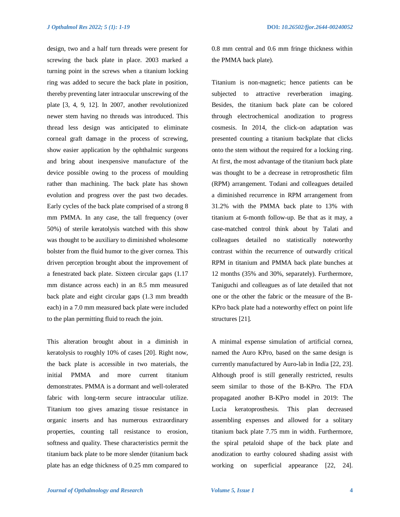design, two and a half turn threads were present for screwing the back plate in place. 2003 marked a turning point in the screws when a titanium locking ring was added to secure the back plate in position, thereby preventing later intraocular unscrewing of the plate [3, 4, 9, 12]. In 2007, another revolutionized newer stem having no threads was introduced. This thread less design was anticipated to eliminate corneal graft damage in the process of screwing, show easier application by the ophthalmic surgeons and bring about inexpensive manufacture of the device possible owing to the process of moulding rather than machining. The back plate has shown evolution and progress over the past two decades. Early cycles of the back plate comprised of a strong 8 mm PMMA. In any case, the tall frequency (over 50%) of sterile keratolysis watched with this show was thought to be auxiliary to diminished wholesome bolster from the fluid humor to the giver cornea. This driven perception brought about the improvement of a fenestrated back plate. Sixteen circular gaps (1.17 mm distance across each) in an 8.5 mm measured back plate and eight circular gaps (1.3 mm breadth each) in a 7.0 mm measured back plate were included to the plan permitting fluid to reach the join.

This alteration brought about in a diminish in keratolysis to roughly 10% of cases [20]. Right now, the back plate is accessible in two materials, the initial PMMA and more current titanium demonstrates. PMMA is a dormant and well-tolerated fabric with long-term secure intraocular utilize. Titanium too gives amazing tissue resistance in organic inserts and has numerous extraordinary properties, counting tall resistance to erosion, softness and quality. These characteristics permit the titanium back plate to be more slender (titanium back plate has an edge thickness of 0.25 mm compared to

0.8 mm central and 0.6 mm fringe thickness within the PMMA back plate).

Titanium is non-magnetic; hence patients can be subjected to attractive reverberation imaging. Besides, the titanium back plate can be colored through electrochemical anodization to progress cosmesis. In 2014, the click-on adaptation was presented counting a titanium backplate that clicks onto the stem without the required for a locking ring. At first, the most advantage of the titanium back plate was thought to be a decrease in retroprosthetic film (RPM) arrangement. Todani and colleagues detailed a diminished recurrence in RPM arrangement from 31.2% with the PMMA back plate to 13% with titanium at 6-month follow-up. Be that as it may, a case-matched control think about by Talati and colleagues detailed no statistically noteworthy contrast within the recurrence of outwardly critical RPM in titanium and PMMA back plate bunches at 12 months (35% and 30%, separately). Furthermore, Taniguchi and colleagues as of late detailed that not one or the other the fabric or the measure of the B-KPro back plate had a noteworthy effect on point life structures [21].

A minimal expense simulation of artificial cornea, named the Auro KPro, based on the same design is currently manufactured by Auro-lab in India [22, 23]. Although proof is still generally restricted, results seem similar to those of the B-KPro. The FDA propagated another B-KPro model in 2019: The Lucia keratoprosthesis. This plan decreased assembling expenses and allowed for a solitary titanium back plate 7.75 mm in width. Furthermore, the spiral petaloid shape of the back plate and anodization to earthy coloured shading assist with working on superficial appearance [22, 24].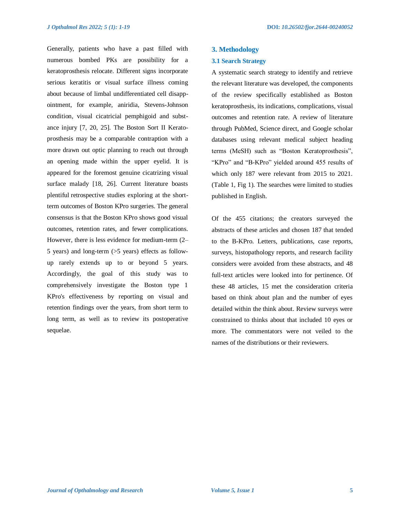Generally, patients who have a past filled with numerous bombed PKs are possibility for a keratoprosthesis relocate. Different signs incorporate serious keratitis or visual surface illness coming about because of limbal undifferentiated cell disappointment, for example, aniridia, Stevens-Johnson condition, visual cicatricial pemphigoid and substance injury [7, 20, 25]. The Boston Sort II Keratoprosthesis may be a comparable contraption with a more drawn out optic planning to reach out through an opening made within the upper eyelid. It is appeared for the foremost genuine cicatrizing visual surface malady [18, 26]. Current literature boasts plentiful retrospective studies exploring at the shortterm outcomes of Boston KPro surgeries. The general consensus is that the Boston KPro shows good visual outcomes, retention rates, and fewer complications. However, there is less evidence for medium-term (2– 5 years) and long-term (>5 years) effects as followup rarely extends up to or beyond 5 years. Accordingly, the goal of this study was to comprehensively investigate the Boston type 1 KPro's effectiveness by reporting on visual and retention findings over the years, from short term to long term, as well as to review its postoperative sequelae.

#### **3. Methodology**

#### **3.1 Search Strategy**

A systematic search strategy to identify and retrieve the relevant literature was developed, the components of the review specifically established as Boston keratoprosthesis, its indications, complications, visual outcomes and retention rate. A review of literature through PubMed, Science direct, and Google scholar databases using relevant medical subject heading terms (MeSH) such as "Boston Keratoprosthesis", "KPro" and "B-KPro" yielded around 455 results of which only 187 were relevant from 2015 to 2021. (Table 1, Fig 1). The searches were limited to studies published in English.

Of the 455 citations; the creators surveyed the abstracts of these articles and chosen 187 that tended to the B-KPro. Letters, publications, case reports, surveys, histopathology reports, and research facility considers were avoided from these abstracts, and 48 full-text articles were looked into for pertinence. Of these 48 articles, 15 met the consideration criteria based on think about plan and the number of eyes detailed within the think about. Review surveys were constrained to thinks about that included 10 eyes or more. The commentators were not veiled to the names of the distributions or their reviewers.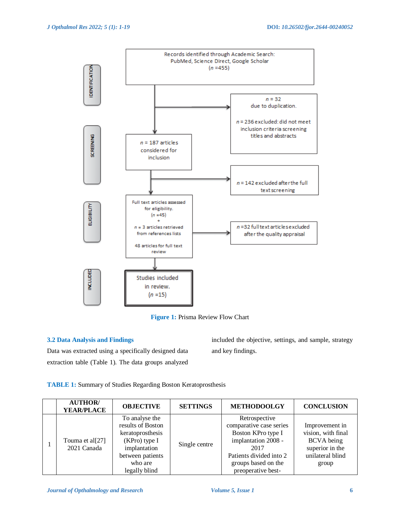

**Figure 1:** Prisma Review Flow Chart

## **3.2 Data Analysis and Findings**

Data was extracted using a specifically designed data extraction table (Table 1). The data groups analyzed

included the objective, settings, and sample, strategy and key findings.

**TABLE 1:** Summary of Studies Regarding Boston Keratoprosthesis

| <b>AUTHOR</b><br><b>YEAR/PLACE</b> | <b>OBJECTIVE</b>                                                                                                                           | <b>SETTINGS</b> | <b>METHODOOLGY</b>                                                                                                                                                    | <b>CONCLUSION</b>                                                                                         |
|------------------------------------|--------------------------------------------------------------------------------------------------------------------------------------------|-----------------|-----------------------------------------------------------------------------------------------------------------------------------------------------------------------|-----------------------------------------------------------------------------------------------------------|
| Touma et al[27]<br>2021 Canada     | To analyse the<br>results of Boston<br>keratoprosthesis<br>$(KPro)$ type I<br>implantation<br>between patients<br>who are<br>legally blind | Single centre   | Retrospective<br>comparative case series<br>Boston KPro type I<br>implantation 2008 -<br>2017<br>Patients divided into 2<br>groups based on the<br>preoperative best- | Improvement in<br>vision, with final<br><b>BCVA</b> being<br>superior in the<br>unilateral blind<br>group |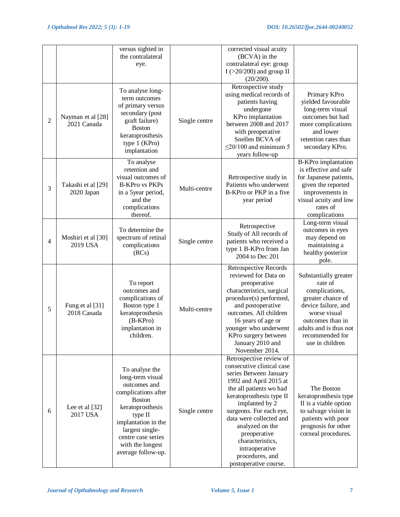|                |                                  | versus sighted in<br>the contralateral<br>eye.                                                                                                                                                                                      |               | corrected visual acuity<br>(BCVA) in the<br>contralateral eye: group<br>I ( $>20/200$ ) and group II<br>(20/200).                                                                                                                                                                                                                                            |                                                                                                                                                                                                    |
|----------------|----------------------------------|-------------------------------------------------------------------------------------------------------------------------------------------------------------------------------------------------------------------------------------|---------------|--------------------------------------------------------------------------------------------------------------------------------------------------------------------------------------------------------------------------------------------------------------------------------------------------------------------------------------------------------------|----------------------------------------------------------------------------------------------------------------------------------------------------------------------------------------------------|
| $\overline{2}$ | Nayman et al [28]<br>2021 Canada | To analyse long-<br>term outcomes<br>of primary versus<br>secondary (post<br>graft failure)<br><b>Boston</b><br>keratoprosthesis<br>type 1 (KPro)<br>implantation                                                                   | Single centre | Retrospective study<br>using medical records of<br>patients having<br>undergone<br>KPro implantation<br>between 2008 and 2017<br>with preoperative<br>Snellen BCVA of<br>$\leq$ 20/100 and minimum 5<br>years follow-up                                                                                                                                      | Primary KPro<br>yielded favourable<br>long-term visual<br>outcomes but had<br>more complications<br>and lower<br>retention rates than<br>secondary KPro.                                           |
| 3              | Takashi et al [29]<br>2020 Japan | To analyse<br>retention and<br>visual outcomes of<br><b>B-KPro vs PKPs</b><br>in a 5year period,<br>and the<br>complications<br>thereof.                                                                                            | Multi-centre  | Retrospective study in<br>Patients who underwent<br>B-KPro or PKP in a five<br>year period                                                                                                                                                                                                                                                                   | B-KPro implantation<br>is effective and safe<br>for Japanese patients,<br>given the reported<br>improvements in<br>visual acuity and low<br>rates of<br>complications                              |
| $\overline{4}$ | Moshiri et al [30]<br>2019 USA   | To determine the<br>spectrum of retinal<br>complications<br>(RCs)                                                                                                                                                                   | Single centre | Retrospective<br>Study of All records of<br>patients who received a<br>type 1 B-KPro from Jan<br>2004 to Dec 201                                                                                                                                                                                                                                             | Long-term visual<br>outcomes in eyes<br>may depend on<br>maintaining a<br>healthy posterior<br>pole.                                                                                               |
| 5              | Fung et al [31]<br>2018 Canada   | To report<br>outcomes and<br>complications of<br>Boston type 1<br>keratoprosthesis<br>$(B-KPro)$<br>implantation in<br>children.                                                                                                    | Multi-centre  | <b>Retrospective Records</b><br>reviewed for Data on<br>preoperative<br>characteristics, surgical<br>procedure(s) performed,<br>and postoperative<br>outcomes. All children<br>16 years of age or<br>younger who underwent<br>KPro surgery between<br>January 2010 and<br>November 2014.                                                                     | Substantially greater<br>rate of<br>complications,<br>greater chance of<br>device failure, and<br>worse visual<br>outcomes than in<br>adults and is thus not<br>recommended for<br>use in children |
| 6              | Lee et al [32]<br>2017 USA       | To analyse the<br>long-term visual<br>outcomes and<br>complications after<br><b>Boston</b><br>keratoprosthesis<br>type II<br>implantation in the<br>largest single-<br>centre case series<br>with the longest<br>average follow-up. | Single centre | Retrospective review of<br>consecutive clinical case<br>series Between January<br>1992 and April 2015 at<br>the all patients wo had<br>keratoprosthesis type II<br>implanted by 2<br>surgeons. For each eye,<br>data were collected and<br>analyzed on the<br>preoperative<br>characteristics,<br>intraoperative<br>procedures, and<br>postoperative course. | The Boston<br>keratoprosthesis type<br>II is a viable option<br>to salvage vision in<br>patients with poor<br>prognosis for other<br>corneal procedures.                                           |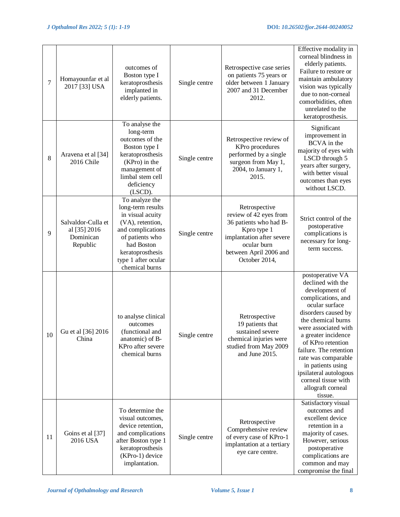| $\tau$  | Homayounfar et al<br>2017 [33] USA                          | outcomes of<br>Boston type I<br>keratoprosthesis<br>implanted in<br>elderly patients.                                                                                                          | Single centre | Retrospective case series<br>on patients 75 years or<br>older between 1 January<br>2007 and 31 December<br>2012.                                                        | Effective modality in<br>corneal blindness in<br>elderly patients.<br>Failure to restore or<br>maintain ambulatory<br>vision was typically<br>due to non-corneal<br>comorbidities, often<br>unrelated to the<br>keratoprosthesis.                                                                                                                                       |
|---------|-------------------------------------------------------------|------------------------------------------------------------------------------------------------------------------------------------------------------------------------------------------------|---------------|-------------------------------------------------------------------------------------------------------------------------------------------------------------------------|-------------------------------------------------------------------------------------------------------------------------------------------------------------------------------------------------------------------------------------------------------------------------------------------------------------------------------------------------------------------------|
| $\,8\,$ | Aravena et al [34]<br>2016 Chile                            | To analyse the<br>long-term<br>outcomes of the<br>Boston type I<br>keratoprosthesis<br>(KPro) in the<br>management of<br>limbal stem cell<br>deficiency<br>(LSCD).                             | Single centre | Retrospective review of<br>KPro procedures<br>performed by a single<br>surgeon from May 1,<br>2004, to January 1,<br>2015.                                              | Significant<br>improvement in<br><b>BCVA</b> in the<br>majority of eyes with<br>LSCD through 5<br>years after surgery,<br>with better visual<br>outcomes than eyes<br>without LSCD.                                                                                                                                                                                     |
| 9       | Salvaldor-Culla et<br>al [35] 2016<br>Dominican<br>Republic | To analyze the<br>long-term results<br>in visual acuity<br>(VA), retention,<br>and complications<br>of patients who<br>had Boston<br>keratoprosthesis<br>type 1 after ocular<br>chemical burns | Single centre | Retrospective<br>review of 42 eyes from<br>36 patients who had B-<br>Kpro type 1<br>implantation after severe<br>ocular burn<br>between April 2006 and<br>October 2014, | Strict control of the<br>postoperative<br>complications is<br>necessary for long-<br>term success.                                                                                                                                                                                                                                                                      |
| 10      | Gu et al [36] 2016<br>China                                 | to analyse clinical<br>outcomes<br>(functional and<br>anatomic) of B-<br>KPro after severe<br>chemical burns                                                                                   | Single centre | Retrospective<br>19 patients that<br>sustained severe<br>chemical injuries were<br>studied from May 2009<br>and June 2015.                                              | postoperative VA<br>declined with the<br>development of<br>complications, and<br>ocular surface<br>disorders caused by<br>the chemical burns<br>were associated with<br>a greater incidence<br>of KPro retention<br>failure. The retention<br>rate was comparable<br>in patients using<br>ipsilateral autologous<br>corneal tissue with<br>allograft corneal<br>tissue. |
| 11      | Goins et al [37]<br>2016 USA                                | To determine the<br>visual outcomes,<br>device retention,<br>and complications<br>after Boston type 1<br>keratoprosthesis<br>(KPro-1) device<br>implantation.                                  | Single centre | Retrospective<br>Comprehensive review<br>of every case of KPro-1<br>implantation at a tertiary<br>eye care centre.                                                      | Satisfactory visual<br>outcomes and<br>excellent device<br>retention in a<br>majority of cases.<br>However, serious<br>postoperative<br>complications are<br>common and may<br>compromise the final                                                                                                                                                                     |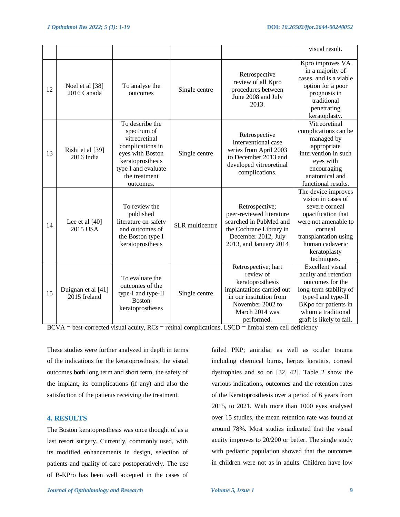|    |                                    |                                                                                                                                                                  |                 |                                                                                                                                                                  | visual result.                                                                                                                                                                                  |
|----|------------------------------------|------------------------------------------------------------------------------------------------------------------------------------------------------------------|-----------------|------------------------------------------------------------------------------------------------------------------------------------------------------------------|-------------------------------------------------------------------------------------------------------------------------------------------------------------------------------------------------|
| 12 | Noel et al [38]<br>2016 Canada     | To analyse the<br>outcomes                                                                                                                                       | Single centre   | Retrospective<br>review of all Kpro<br>procedures between<br>June 2008 and July<br>2013.                                                                         | Kpro improves VA<br>in a majority of<br>cases, and is a viable<br>option for a poor<br>prognosis in<br>traditional<br>penetrating<br>keratoplasty.                                              |
| 13 | Rishi et al [39]<br>$2016$ India   | To describe the<br>spectrum of<br>vitreoretinal<br>complications in<br>eyes with Boston<br>keratoprosthesis<br>type I and evaluate<br>the treatment<br>outcomes. | Single centre   | Retrospective<br>Interventional case<br>series from April 2003<br>to December 2013 and<br>developed vitreoretinal<br>complications.                              | Vitreoretinal<br>complications can be<br>managed by<br>appropriate<br>intervention in such<br>eyes with<br>encouraging<br>anatomical and<br>functional results.                                 |
| 14 | Lee et al $[40]$<br>2015 USA       | To review the<br>published<br>literature on safety<br>and outcomes of<br>the Boston type I<br>keratoprosthesis                                                   | SLR multicentre | Retrospective;<br>peer-reviewed literature<br>searched in PubMed and<br>the Cochrane Library in<br>December 2012, July<br>2013, and January 2014                 | The device improves<br>vision in cases of<br>severe corneal<br>opacification that<br>were not amenable to<br>corneal<br>transplantation using<br>human cadaveric<br>keratoplasty<br>techniques. |
| 15 | Duignan et al [41]<br>2015 Ireland | To evaluate the<br>outcomes of the<br>type-I and type-II<br><b>Boston</b><br>keratoprostheses                                                                    | Single centre   | Retrospective; hart<br>review of<br>keratoprosthesis<br>implantations carried out<br>in our institution from<br>November 2002 to<br>March 2014 was<br>performed. | Excellent visual<br>acuity and retention<br>outcomes for the<br>long-term stability of<br>type-I and type-II<br>BKpo for patients in<br>whom a traditional<br>graft is likely to fail.          |

 $BCVA = best-corrected visual acuity, RCs = retinal complications, LSCD = limbal stem cell deficiency$ 

These studies were further analyzed in depth in terms of the indications for the keratoprosthesis, the visual outcomes both long term and short term, the safety of the implant, its complications (if any) and also the satisfaction of the patients receiving the treatment.

# **4. RESULTS**

The Boston keratoprosthesis was once thought of as a last resort surgery. Currently, commonly used, with its modified enhancements in design, selection of patients and quality of care postoperatively. The use of B-KPro has been well accepted in the cases of failed PKP; aniridia; as well as ocular trauma including chemical burns, herpes keratitis, corneal dystrophies and so on [32, 42]. Table 2 show the various indications, outcomes and the retention rates of the Keratoprosthesis over a period of 6 years from 2015, to 2021. With more than 1000 eyes analysed over 15 studies, the mean retention rate was found at around 78%. Most studies indicated that the visual acuity improves to 20/200 or better. The single study with pediatric population showed that the outcomes in children were not as in adults. Children have low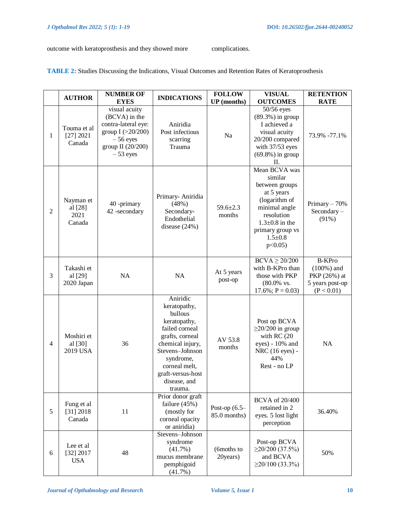outcome with keratoprosthesis and they showed more complications.

| <b>TABLE 2:</b> Studies Discussing the Indications, Visual Outcomes and Retention Rates of Keratoprosthesis |  |  |
|-------------------------------------------------------------------------------------------------------------|--|--|
|-------------------------------------------------------------------------------------------------------------|--|--|

|                | <b>AUTHOR</b>                          | <b>NUMBER OF</b><br><b>EYES</b>                                                                                               | <b>INDICATIONS</b>                                                                                                                                                                                            | <b>FOLLOW</b><br><b>UP</b> (months) | <b>VISUAL</b><br><b>OUTCOMES</b>                                                                                                                                                    | <b>RETENTION</b><br><b>RATE</b>                                                 |
|----------------|----------------------------------------|-------------------------------------------------------------------------------------------------------------------------------|---------------------------------------------------------------------------------------------------------------------------------------------------------------------------------------------------------------|-------------------------------------|-------------------------------------------------------------------------------------------------------------------------------------------------------------------------------------|---------------------------------------------------------------------------------|
| 1              | Touma et al<br>[27] 2021<br>Canada     | visual acuity<br>(BCVA) in the<br>contra-lateral eye:<br>group $I$ (>20/200)<br>$-56$ eyes<br>group II (20/200)<br>$-53$ eyes | Aniridia<br>Post infectious<br>scarring<br>Trauma                                                                                                                                                             | Na                                  | 50/56 eyes<br>$(89.3\%)$ in group<br>I achieved a<br>visual acuity<br>20/200 compared<br>with 37/53 eyes<br>$(69.8\%)$ in group<br>П.                                               | 73.9% -77.1%                                                                    |
| $\overline{2}$ | Nayman et<br>al [28]<br>2021<br>Canada | 40 -primary<br>42 -secondary                                                                                                  | Primary- Aniridia<br>(48%)<br>Secondary-<br>Endothelial<br>disease (24%)                                                                                                                                      | $59.6 \pm 2.3$<br>months            | Mean BCVA was<br>similar<br>between groups<br>at 5 years<br>(logarithm of<br>minimal angle<br>resolution<br>$1.3 \pm 0.8$ in the<br>primary group vs<br>$1.5 \pm 0.8$<br>$p<0.05$ ) | Primary $-70%$<br>$Secondary -$<br>$(91\%)$                                     |
| 3              | Takashi et<br>al [29]<br>2020 Japan    | NA                                                                                                                            | <b>NA</b>                                                                                                                                                                                                     | At 5 years<br>post-op               | $BCVA \ge 20/200$<br>with B-KPro than<br>those with PKP<br>(80.0% vs.<br>$17.6\%; P = 0.03)$                                                                                        | <b>B-KPro</b><br>$(100\%)$ and<br>PKP (26%) at<br>5 years post-op<br>(P < 0.01) |
| $\overline{4}$ | Moshiri et<br>al [30]<br>2019 USA      | 36                                                                                                                            | Aniridic<br>keratopathy,<br>bullous<br>keratopathy,<br>failed corneal<br>grafts, corneal<br>chemical injury,<br>Stevens-Johnson<br>syndrome,<br>corneal melt,<br>graft-versus-host<br>disease, and<br>trauma. | AV 53.8<br>months                   | Post op BCVA<br>$\geq$ 20/200 in group<br>with RC (20<br>eyes) - 10% and<br>NRC (16 eyes) -<br>44%<br>Rest - no LP                                                                  | <b>NA</b>                                                                       |
| 5              | Fung et al<br>[31] 2018<br>Canada      | 11                                                                                                                            | Prior donor graft<br>failure $(45%)$<br>(mostly for<br>corneal opacity<br>or aniridia)                                                                                                                        | Post-op $(6.5-$<br>85.0 months)     | <b>BCVA</b> of 20/400<br>retained in 2<br>eyes. 5 lost light<br>perception                                                                                                          | 36.40%                                                                          |
| 6              | Lee et al<br>[32] 2017<br><b>USA</b>   | 48                                                                                                                            | Stevens-Johnson<br>syndrome<br>$(41.7\%)$<br>mucus membrane<br>pemphigoid<br>(41.7%)                                                                                                                          | (6moths to<br>20years)              | Post-op BCVA<br>$\geq$ 20/200 (37.5%)<br>and BCVA<br>$\geq$ 20/100 (33.3%)                                                                                                          | 50%                                                                             |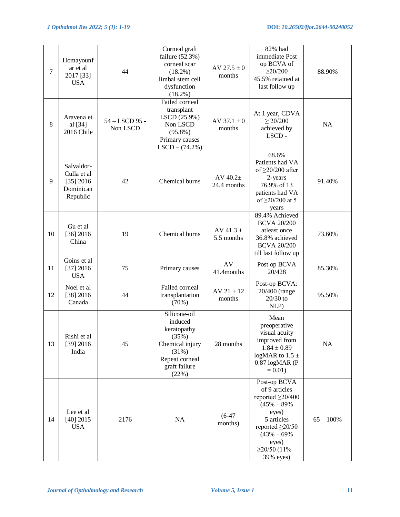| $\tau$ | Homayounf<br>ar et al<br>2017 [33]<br><b>USA</b>                | 44                         | Corneal graft<br>failure $(52.3\%)$<br>corneal scar<br>$(18.2\%)$<br>limbal stem cell<br>dysfunction<br>$(18.2\%)$      | AV $27.5 \pm 0$<br>months   | 82% had<br>immediate Post<br>op BCVA of<br>$\geq$ 20/200<br>45.5% retained at<br>last follow up                                                                                           | 88.90%       |
|--------|-----------------------------------------------------------------|----------------------------|-------------------------------------------------------------------------------------------------------------------------|-----------------------------|-------------------------------------------------------------------------------------------------------------------------------------------------------------------------------------------|--------------|
| 8      | Aravena et<br>al [34]<br>2016 Chile                             | 54 - LSCD 95 -<br>Non LSCD | Failed corneal<br>transplant<br>LSCD (25.9%)<br>Non LSCD<br>$(95.8\%)$<br>Primary causes<br>$LSCD - (74.2%)$            | AV $37.1 \pm 0$<br>months   | At 1 year, CDVA<br>$\geq 20/200$<br>achieved by<br>LSCD-                                                                                                                                  | <b>NA</b>    |
| 9      | Salvaldor-<br>Culla et al<br>[35] 2016<br>Dominican<br>Republic | 42                         | Chemical burns                                                                                                          | AV $40.2\pm$<br>24.4 months | 68.6%<br>Patients had VA<br>of $\geq$ 20/200 after<br>2-years<br>76.9% of 13<br>patients had VA<br>of $\geq$ 20/200 at 5<br>years                                                         | 91.40%       |
| 10     | Gu et al<br>$[36]$ 2016<br>China                                | 19                         | Chemical burns                                                                                                          | AV 41.3 $\pm$<br>5.5 months | 89.4% Achieved<br><b>BCVA 20/200</b><br>atleast once<br>36.8% achieved<br><b>BCVA 20/200</b><br>till last follow up                                                                       | 73.60%       |
| 11     | Goins et al<br>[37] 2016<br><b>USA</b>                          | 75                         | Primary causes                                                                                                          | AV<br>41.4months            | Post op BCVA<br>20/428                                                                                                                                                                    | 85.30%       |
| 12     | Noel et al<br>$[38]$ 2016<br>Canada                             | 44                         | Failed corneal<br>transplantation<br>(70%)                                                                              | $AV 21 \pm 12$<br>months    | Post-op BCVA:<br>20/400 (range<br>$20/30$ to<br>NLP)                                                                                                                                      | 95.50%       |
| 13     | Rishi et al<br>$[39]$ 2016<br>India                             | 45                         | Silicone-oil<br>induced<br>keratopathy<br>(35%)<br>Chemical injury<br>(31%)<br>Repeat corneal<br>graft failure<br>(22%) | 28 months                   | Mean<br>preoperative<br>visual acuity<br>improved from<br>$1.84 \pm 0.89$<br>logMAR to 1.5 $\pm$<br>$0.87 \log MAR$ (P<br>$= 0.01$ )                                                      | NA           |
| 14     | Lee et al<br>$[40]$ 2015<br><b>USA</b>                          | 2176                       | NA                                                                                                                      | $(6-47)$<br>months)         | Post-op BCVA<br>of 9 articles<br>reported $\geq$ 20/400<br>$(45\% - 89\%)$<br>eyes)<br>5 articles<br>reported $\geq$ 20/50<br>$(43\% - 69\%$<br>eyes)<br>$\geq$ 20/50 (11% –<br>39% eyes) | $65 - 100\%$ |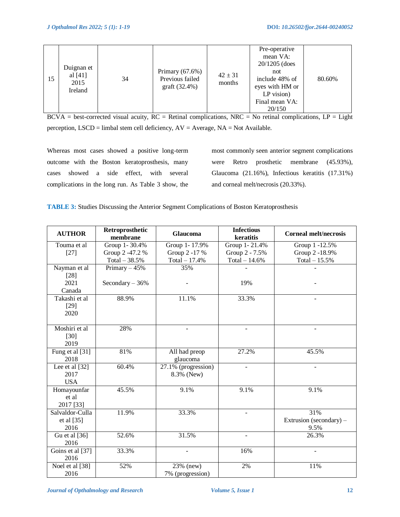| 15 | Duignan et<br>al [41]<br>2015<br>Ireland | 34 | Primary $(67.6\%)$<br>Previous failed<br>graft (32.4%) | $42 \pm 31$<br>months | Pre-operative<br>mean VA:<br>$20/1205$ (does<br>not<br>include 48% of<br>eyes with HM or<br>$LP$ vision)<br>Final mean VA:<br>20/150 | 80.60% |
|----|------------------------------------------|----|--------------------------------------------------------|-----------------------|--------------------------------------------------------------------------------------------------------------------------------------|--------|
|----|------------------------------------------|----|--------------------------------------------------------|-----------------------|--------------------------------------------------------------------------------------------------------------------------------------|--------|

 $BCVA = best-corrected$  visual acuity,  $RC = Retinal$  complications,  $NRC = No$  retinal complications,  $LP = Light$ perception, LSCD = limbal stem cell deficiency, AV = Average, NA = Not Available.

Whereas most cases showed a positive long-term outcome with the Boston keratoprosthesis, many cases showed a side effect, with several complications in the long run. As Table 3 show, the most commonly seen anterior segment complications were Retro prosthetic membrane (45.93%), Glaucoma (21.16%), Infectious keratitis (17.31%) and corneal melt/necrosis (20.33%).

|  |  | <b>TABLE 3:</b> Studies Discussing the Anterior Segment Complications of Boston Keratoprosthesis |
|--|--|--------------------------------------------------------------------------------------------------|
|  |  |                                                                                                  |

| <b>AUTHOR</b>                          | Retroprosthetic<br>membrane | <b>Glaucoma</b>                   | <b>Infectious</b><br>keratitis | <b>Corneal melt/necrosis</b>           |
|----------------------------------------|-----------------------------|-----------------------------------|--------------------------------|----------------------------------------|
| Touma et al                            | Group 1-30.4%               | Group 1-17.9%                     | Group 1-21.4%                  | Group 1 -12.5%                         |
| $[27]$                                 | Group 2 -47.2 %             | Group 2 -17 %                     | Group 2 - 7.5%                 | Group 2 -18.9%                         |
|                                        | Total $-38.5%$              | Total $-17.4%$                    | Total $-14.6%$                 | Total $-15.5%$                         |
| Nayman et al                           | Primary $-45%$              | 35%                               |                                |                                        |
| $[28]$<br>2021                         | Secondary $-36%$            |                                   | 19%                            |                                        |
| Canada                                 |                             |                                   |                                |                                        |
| Takashi et al<br>$[29]$<br>2020        | 88.9%                       | 11.1%                             | 33.3%                          |                                        |
| Moshiri et al<br>$[30]$<br>2019        | 28%                         |                                   |                                |                                        |
| Fung et al [31]<br>2018                | 81%                         | All had preop<br>glaucoma         | 27.2%                          | 45.5%                                  |
| Lee et al $[32]$<br>2017<br><b>USA</b> | 60.4%                       | 27.1% (progression)<br>8.3% (New) |                                |                                        |
| Homayounfar<br>et al<br>2017 [33]      | 45.5%                       | 9.1%                              | 9.1%                           | 9.1%                                   |
| Salvaldor-Culla<br>et al [35]<br>2016  | 11.9%                       | 33.3%                             | $\overline{a}$                 | 31%<br>Extrusion (secondary) –<br>9.5% |
| Gu et al $[36]$<br>2016                | 52.6%                       | 31.5%                             | $\blacksquare$                 | 26.3%                                  |
| Goins et al [37]<br>2016               | 33.3%                       |                                   | 16%                            |                                        |
| Noel et al [38]<br>2016                | 52%                         | 23% (new)<br>7% (progression)     | 2%                             | 11%                                    |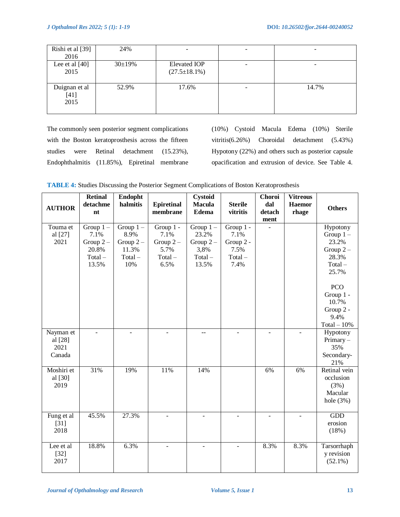| Rishi et al [39]<br>2016        | 24%         |                                            |       |
|---------------------------------|-------------|--------------------------------------------|-------|
| Lee et al $[40]$<br>2015        | $30\pm19\%$ | <b>Elevated IOP</b><br>$(27.5 \pm 18.1\%)$ |       |
| Duignan et al<br>$[41]$<br>2015 | 52.9%       | 17.6%                                      | 14.7% |

The commonly seen posterior segment complications with the Boston keratoprosthesis across the fifteen studies were Retinal detachment (15.23%), Endophthalmitis (11.85%), Epiretinal membrane (10%) Cystoid Macula Edema (10%) Sterile vitritis(6.26%) Choroidal detachment (5.43%) Hypotony (22%) and others such as posterior capsule opacification and extrusion of device. See Table 4.

| <b>AUTHOR</b>                          | Retinal<br>detachme<br>nt                                       | Endopht<br>halmitis                                            | <b>Epiretinal</b><br>membrane                                | Cystoid<br><b>Macula</b><br><b>Edema</b>                         | <b>Sterile</b><br>vitritis                                  | Choroi<br>dal<br>detach<br>ment | <b>Vitreous</b><br><b>Haemor</b><br>rhage | <b>Others</b>                                                                 |
|----------------------------------------|-----------------------------------------------------------------|----------------------------------------------------------------|--------------------------------------------------------------|------------------------------------------------------------------|-------------------------------------------------------------|---------------------------------|-------------------------------------------|-------------------------------------------------------------------------------|
| Touma et<br>al [27]<br>2021            | Group $1-$<br>7.1%<br>Group $2-$<br>20.8%<br>$Total -$<br>13.5% | Group $1 -$<br>8.9%<br>Group $2-$<br>11.3%<br>$Total -$<br>10% | Group 1 -<br>7.1%<br>Group $2-$<br>5.7%<br>$Total -$<br>6.5% | Group $1 -$<br>23.2%<br>Group $2-$<br>3,8%<br>$Total -$<br>13.5% | Group 1 -<br>7.1%<br>Group 2 -<br>7.5%<br>$Total -$<br>7.4% |                                 |                                           | Hypotony<br>Group $1 -$<br>23.2%<br>Group $2-$<br>28.3%<br>$Total -$<br>25.7% |
|                                        |                                                                 |                                                                |                                                              |                                                                  |                                                             |                                 |                                           | <b>PCO</b><br>Group 1 -<br>10.7%<br>Group 2 -<br>9.4%<br>$Total - 10\%$       |
| Nayman et<br>al [28]<br>2021<br>Canada |                                                                 |                                                                |                                                              | --                                                               |                                                             |                                 |                                           | Hypotony<br>Primary $-$<br>35%<br>Secondary-<br>21%                           |
| Moshiri et<br>al [30]<br>2019          | 31%                                                             | 19%                                                            | 11%                                                          | 14%                                                              |                                                             | 6%                              | 6%                                        | Retinal vein<br>occlusion<br>(3%)<br>Macular<br>hole $(3%)$                   |
| Fung et al<br>$[31]$<br>2018           | 45.5%                                                           | 27.3%                                                          |                                                              |                                                                  |                                                             |                                 |                                           | GDD<br>erosion<br>(18%)                                                       |
| Lee et al<br>$[32]$<br>2017            | 18.8%                                                           | 6.3%                                                           |                                                              |                                                                  |                                                             | 8.3%                            | 8.3%                                      | Tarsorrhaph<br>y revision<br>$(52.1\%)$                                       |

**TABLE 4:** Studies Discussing the Posterior Segment Complications of Boston Keratoprosthesis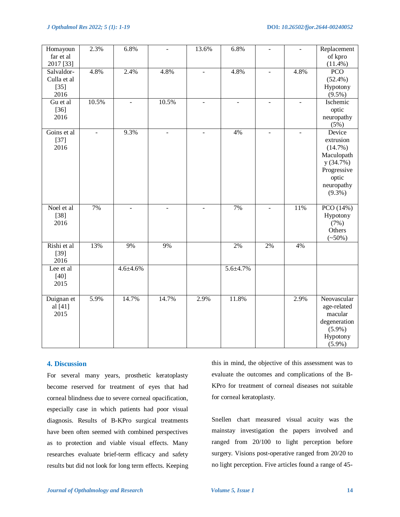| Homayoun<br>far et al<br>2017 [33]          | 2.3%           | 6.8%           |                | 13.6%          | 6.8%           |                | $\overline{\phantom{a}}$ | Replacement<br>of kpro<br>$(11.4\%)$                                                                           |
|---------------------------------------------|----------------|----------------|----------------|----------------|----------------|----------------|--------------------------|----------------------------------------------------------------------------------------------------------------|
| Salvaldor-<br>Culla et al<br>$[35]$<br>2016 | 4.8%           | 2.4%           | 4.8%           | $\blacksquare$ | 4.8%           | $\mathbf{r}$   | 4.8%                     | <b>PCO</b><br>$(52.4\%)$<br>Hypotony<br>$(9.5\%)$                                                              |
| Gu et al<br>$[36]$<br>2016                  | 10.5%          |                | 10.5%          |                | $\overline{a}$ |                | $\overline{a}$           | Ischemic<br>optic<br>neuropathy<br>(5%)                                                                        |
| Goins et al<br>$[37]$<br>2016               | $\blacksquare$ | 9.3%           | $\blacksquare$ | $\blacksquare$ | 4%             | $\blacksquare$ | $\equiv$                 | Device<br>extrusion<br>$(14.7\%)$<br>Maculopath<br>y(34.7%)<br>Progressive<br>optic<br>neuropathy<br>$(9.3\%)$ |
| Noel et al<br>$[38]$<br>2016                | 7%             | $\blacksquare$ | $\overline{a}$ | $\blacksquare$ | 7%             |                | 11%                      | PCO (14%)<br>Hypotony<br>(7%)<br>Others<br>$(*50\%)$                                                           |
| Rishi et al<br>$[39]$<br>2016               | 13%            | 9%             | 9%             |                | 2%             | 2%             | 4%                       |                                                                                                                |
| Lee et al<br>$[40]$<br>2015                 |                | $4.6 + 4.6%$   |                |                | 5.6±4.7%       |                |                          |                                                                                                                |
| Duignan et<br>al [41]<br>2015               | 5.9%           | 14.7%          | 14.7%          | 2.9%           | 11.8%          |                | 2.9%                     | Neovascular<br>age-related<br>macular<br>degeneration<br>$(5.9\%)$<br>Hypotony<br>$(5.9\%)$                    |

### **4. Discussion**

For several many years, prosthetic keratoplasty become reserved for treatment of eyes that had corneal blindness due to severe corneal opacification, especially case in which patients had poor visual diagnosis. Results of B-KPro surgical treatments have been often seemed with combined perspectives as to protection and viable visual effects. Many researches evaluate brief-term efficacy and safety results but did not look for long term effects. Keeping

this in mind, the objective of this assessment was to evaluate the outcomes and complications of the B-KPro for treatment of corneal diseases not suitable for corneal keratoplasty.

Snellen chart measured visual acuity was the mainstay investigation the papers involved and ranged from 20/100 to light perception before surgery. Visions post-operative ranged from 20/20 to no light perception. Five articles found a range of 45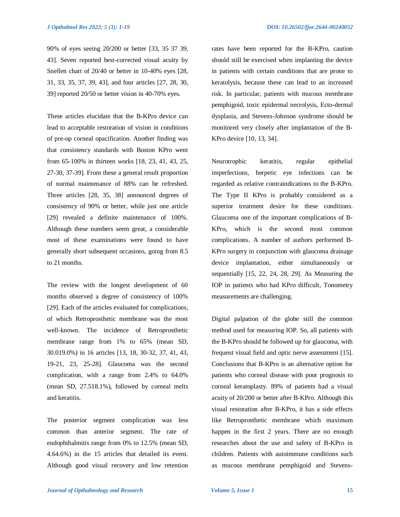90% of eyes seeing 20/200 or better [33, 35 37 39, 43]. Seven reported best-corrected visual acuity by Snellen chart of 20/40 or better in 10-40% eyes [28, 31, 33, 35, 37, 39, 43], and four articles [27, 28, 30, 39] reported 20/50 or better vision in 40-70% eyes.

These articles elucidate that the B-KPro device can lead to acceptable restoration of vision in conditions of pre-op corneal opacification. Another finding was that consistency standards with Boston KPro went from 65-100% in thirteen works [18, 23, 41, 43, 25, 27-30, 37-39]. From these a general result proportion of normal maintenance of 88% can be refreshed. Three articles [28, 35, 38] announced degrees of consistency of 90% or better, while just one article [29] revealed a definite maintenance of 100%. Although these numbers seem great, a considerable most of these examinations were found to have generally short subsequent occasions, going from 8.5 to 21 months.

The review with the longest development of 60 months observed a degree of consistency of 100% [29]. Each of the articles evaluated for complications, of which Retroprosthetic membrane was the most well-known. The incidence of Retroprosthetic membrane range from 1% to 65% (mean SD, 30.019.0%) in 16 articles [13, 18, 30-32, 37, 41, 43, 19-21, 23, 25-28]. Glaucoma was the second complication, with a range from 2.4% to 64.0% (mean SD, 27.518.1%), followed by corneal melts and keratitis.

The posterior segment complication was less common than anterior segment. The rate of endophthalmitis range from 0% to 12.5% (mean SD, 4.64.6%) in the 15 articles that detailed its event. Although good visual recovery and low retention rates have been reported for the B-KPro, caution should still be exercised when implanting the device in patients with certain conditions that are prone to keratolysis, because these can lead to an increased risk. In particular, patients with mucous membrane pemphigoid, toxic epidermal necrolysis, Ecto-dermal dysplasia, and Stevens-Johnson syndrome should be monitored very closely after implantation of the B-KPro device [10, 13, 34].

Neurotrophic keratitis, regular epithelial imperfections, herpetic eye infections can be regarded as relative contraindications to the B-KPro. The Type II KPro is probably considered as a superior treatment desire for these conditions. Glaucoma one of the important complications of B-KPro, which is the second most common complications. A number of authors performed B-KPro surgery in conjunction with glaucoma drainage device implantation, either simultaneously or sequentially [15, 22, 24, 28, 29]. As Measuring the IOP in patients who had KPro difficult, Tonometry measurements are challenging.

Digital palpation of the globe still the common method used for measuring IOP. So, all patients with the B-KPro should be followed up for glaucoma, with frequent visual field and optic nerve assessment [15]. Conclusions that B-KPro is an alternative option for patients who corneal disease with poor prognosis to corneal keratoplasty. 89% of patients had a visual acuity of 20/200 or better after B-KPro. Although this visual restoration after B-KPro, it has a side effects like Retroprosthetic membrane which maximum happen in the first 2 years. There are no enough researches about the use and safety of B-KPro in children. Patients with autoimmune conditions such as mucous membrane pemphigoid and Stevens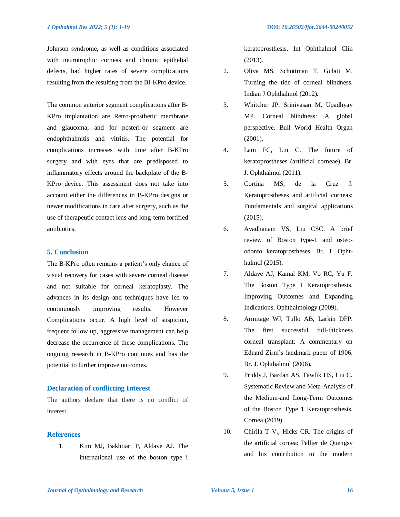Johnson syndrome, as well as conditions associated with neurotrophic corneas and chronic epithelial defects, had higher rates of severe complications resulting from the resulting from the BI-KPro device.

The common anterior segment complications after B-KPro implantation are Retro-prosthetic membrane and glaucoma, and for posteri-or segment are endophthalmitis and vitritis. The potential for complications increases with time after B-KPro surgery and with eyes that are predisposed to inflammatory effects around the backplate of the B-KPro device. This assessment does not take into account either the differences in B-KPro designs or newer modifications in care after surgery, such as the use of therapeutic contact lens and long-term fortified antibiotics.

#### **5. Conclusion**

The B-KPro often remains a patient's only chance of visual recovery for cases with severe corneal disease and not suitable for corneal keratoplasty. The advances in its design and techniques have led to continuously improving results. However Complications occur. A high level of suspicion, frequent follow up, aggressive management can help decrease the occurrence of these complications. The ongoing research in B-KPro continues and has the potential to further improve outcomes.

#### **Declaration of conflicting Interest**

The authors declare that there is no conflict of interest.

# **References**

1. Kim MJ, Bakhtiari P, Aldave AJ. The international use of the boston type i

keratoprosthesis. Int Ophthalmol Clin (2013).

- 2. Oliva MS, Schottman T, Gulati M. Turning the tide of corneal blindness. Indian J Ophthalmol (2012).
- 3. Whitcher JP, Srinivasan M, Upadhyay MP. Corneal blindness: A global perspective. Bull World Health Organ (2001).
- 4. Lam FC, Liu C. The future of keratoprostheses (artificial corneae). Br. J. Ophthalmol (2011).
- 5. Cortina MS, de la Cruz J. Keratoprostheses and artificial corneas: Fundamentals and surgical applications (2015).
- 6. Avadhanam VS, Liu CSC. A brief review of Boston type-1 and osteoodonto keratoprostheses. Br. J. Ophthalmol (2015).
- 7. Aldave AJ, Kamal KM, Vo RC, Yu F. The Boston Type I Keratoprosthesis. Improving Outcomes and Expanding Indications. Ophthalmology (2009).
- 8. Armitage WJ, Tullo AB, Larkin DFP. The first successful full-thickness corneal transplant: A commentary on Eduard Zirm's landmark paper of 1906. Br. J. Ophthalmol (2006).
- 9. Priddy J, Bardan AS, Tawfik HS, Liu C. Systematic Review and Meta-Analysis of the Medium-and Long-Term Outcomes of the Boston Type 1 Keratoprosthesis. Cornea (2019).
- 10. Chirila T V., Hicks CR. The origins of the artificial cornea: Pellier de Quengsy and his contribution to the modern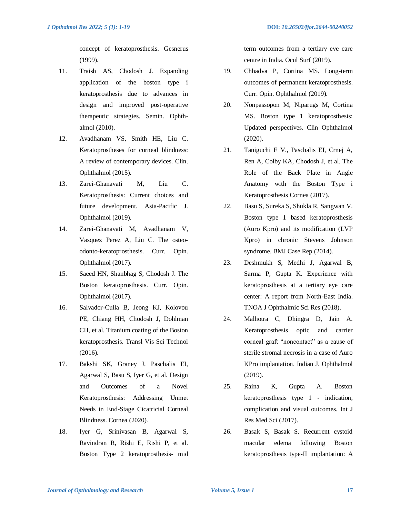concept of keratoprosthesis. Gesnerus (1999).

- 11. Traish AS, Chodosh J. Expanding application of the boston type i keratoprosthesis due to advances in design and improved post-operative therapeutic strategies. Semin. Ophthalmol (2010).
- 12. Avadhanam VS, Smith HE, Liu C. Keratoprostheses for corneal blindness: A review of contemporary devices. Clin. Ophthalmol (2015).
- 13. Zarei-Ghanavati M, Liu C. Keratoprosthesis: Current choices and future development. Asia-Pacific J. Ophthalmol (2019).
- 14. Zarei-Ghanavati M, Avadhanam V, Vasquez Perez A, Liu C. The osteoodonto-keratoprosthesis. Curr. Opin. Ophthalmol (2017).
- 15. Saeed HN, Shanbhag S, Chodosh J. The Boston keratoprosthesis. Curr. Opin. Ophthalmol (2017).
- 16. Salvador-Culla B, Jeong KJ, Kolovou PE, Chiang HH, Chodosh J, Dohlman CH, et al. Titanium coating of the Boston keratoprosthesis. Transl Vis Sci Technol (2016).
- 17. Bakshi SK, Graney J, Paschalis EI, Agarwal S, Basu S, Iyer G, et al. Design and Outcomes of a Novel Keratoprosthesis: Addressing Unmet Needs in End-Stage Cicatricial Corneal Blindness. Cornea (2020).
- 18. Iyer G, Srinivasan B, Agarwal S, Ravindran R, Rishi E, Rishi P, et al. Boston Type 2 keratoprosthesis- mid

term outcomes from a tertiary eye care centre in India. Ocul Surf (2019).

- 19. Chhadva P, Cortina MS. Long-term outcomes of permanent keratoprosthesis. Curr. Opin. Ophthalmol (2019).
- 20. Nonpassopon M, Niparugs M, Cortina MS. Boston type 1 keratoprosthesis: Updated perspectives. Clin Ophthalmol (2020).
- 21. Taniguchi E V., Paschalis EI, Crnej A, Ren A, Colby KA, Chodosh J, et al. The Role of the Back Plate in Angle Anatomy with the Boston Type i Keratoprosthesis Cornea (2017).
- 22. Basu S, Sureka S, Shukla R, Sangwan V. Boston type 1 based keratoprosthesis (Auro Kpro) and its modification (LVP Kpro) in chronic Stevens Johnson syndrome. BMJ Case Rep (2014).
- 23. Deshmukh S, Medhi J, Agarwal B, Sarma P, Gupta K. Experience with keratoprosthesis at a tertiary eye care center: A report from North-East India. TNOA J Ophthalmic Sci Res (2018).
- 24. Malhotra C, Dhingra D, Jain A. Keratoprosthesis optic and carrier corneal graft "noncontact" as a cause of sterile stromal necrosis in a case of Auro KPro implantation. Indian J. Ophthalmol (2019).
- 25. Raina K, Gupta A. Boston keratoprosthesis type 1 - indication, complication and visual outcomes. Int J Res Med Sci (2017).
- 26. Basak S, Basak S. Recurrent cystoid macular edema following Boston keratoprosthesis type-II implantation: A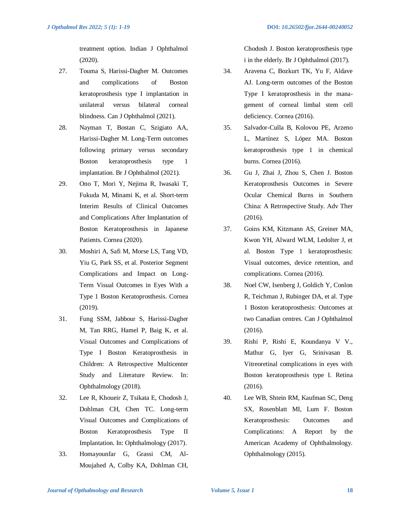treatment option. Indian J Ophthalmol (2020).

- 27. Touma S, Harissi-Dagher M. Outcomes and complications of Boston keratoprosthesis type I implantation in unilateral versus bilateral corneal blindness. Can J Ophthalmol (2021).
- 28. Nayman T, Bostan C, Szigiato AA, Harissi-Dagher M. Long-Term outcomes following primary versus secondary Boston keratoprosthesis type 1 implantation. Br J Ophthalmol (2021).
- 29. Ono T, Mori Y, Nejima R, Iwasaki T, Fukuda M, Minami K, et al. Short-term Interim Results of Clinical Outcomes and Complications After Implantation of Boston Keratoprosthesis in Japanese Patients. Cornea (2020).
- 30. Moshiri A, Safi M, Morse LS, Tang VD, Yiu G, Park SS, et al. Posterior Segment Complications and Impact on Long-Term Visual Outcomes in Eyes With a Type 1 Boston Keratoprosthesis. Cornea (2019).
- 31. Fung SSM, Jabbour S, Harissi-Dagher M, Tan RRG, Hamel P, Baig K, et al. Visual Outcomes and Complications of Type I Boston Keratoprosthesis in Children: A Retrospective Multicenter Study and Literature Review. In: Ophthalmology (2018).
- 32. Lee R, Khoueir Z, Tsikata E, Chodosh J, Dohlman CH, Chen TC. Long-term Visual Outcomes and Complications of Boston Keratoprosthesis Type II Implantation. In: Ophthalmology (2017).
- 33. Homayounfar G, Grassi CM, Al-Moujahed A, Colby KA, Dohlman CH,

*J Opthalmol Res 2022; 5 (1): 1-19* **DOI:** *10.26502/fjor.2644-00240052*

Chodosh J. Boston keratoprosthesis type i in the elderly. Br J Ophthalmol (2017).

- 34. Aravena C, Bozkurt TK, Yu F, Aldave AJ. Long-term outcomes of the Boston Type I keratoprosthesis in the management of corneal limbal stem cell deficiency. Cornea (2016).
- 35. Salvador-Culla B, Kolovou PE, Arzeno L, Martínez S, López MA. Boston keratoprosthesis type 1 in chemical burns. Cornea (2016).
- 36. Gu J, Zhai J, Zhou S, Chen J. Boston Keratoprosthesis Outcomes in Severe Ocular Chemical Burns in Southern China: A Retrospective Study. Adv Ther (2016).
- 37. Goins KM, Kitzmann AS, Greiner MA, Kwon YH, Alward WLM, Ledolter J, et al. Boston Type 1 keratoprosthesis: Visual outcomes, device retention, and complications. Cornea (2016).
- 38. Noel CW, Isenberg J, Goldich Y, Conlon R, Teichman J, Rubinger DA, et al. Type 1 Boston keratoprosthesis: Outcomes at two Canadian centres. Can J Ophthalmol (2016).
- 39. Rishi P, Rishi E, Koundanya V V., Mathur G, Iyer G, Srinivasan B. Vitreoretinal complications in eyes with Boston keratoprosthesis type I. Retina (2016).
- 40. Lee WB, Shtein RM, Kaufman SC, Deng SX, Rosenblatt MI, Lum F. Boston Keratoprosthesis: Outcomes and Complications: A Report by the American Academy of Ophthalmology. Ophthalmology (2015).